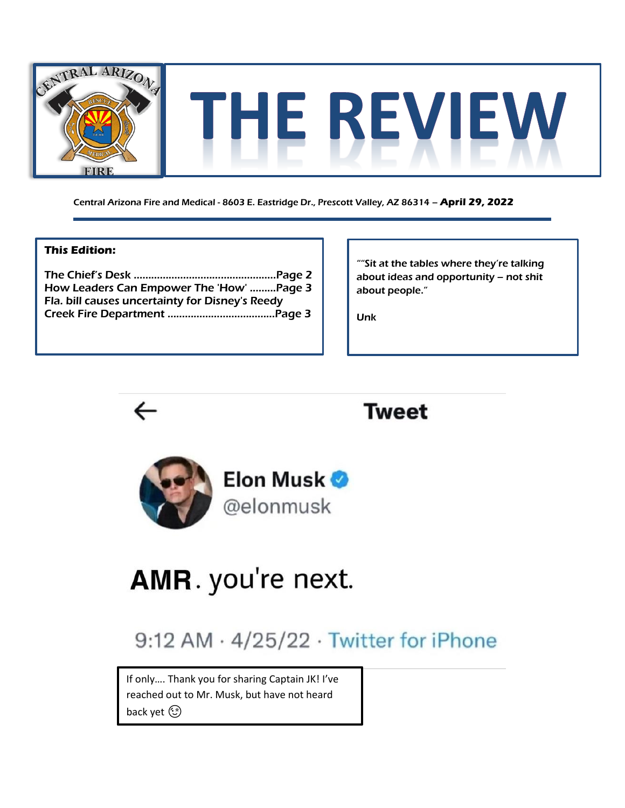

Central Arizona Fire and Medical - 8603 E. Eastridge Dr., Prescott Valley, AZ 86314 – **April 29, 2022**

#### **This Edition:**

The Chief's Desk ………………………………..………..Page 2 How Leaders Can Empower The 'How' ..…....Page 3 Fla. bill causes uncertainty for Disney's Reedy Creek Fire Department …………………….…………Page 3

""Sit at the tables where they're talking about ideas and opportunity – not shit about people."

Unk







# **AMR.** you're next.

## 9:12 AM · 4/25/22 · Twitter for iPhone

If only…. Thank you for sharing Captain JK! I've reached out to Mr. Musk, but have not heard back yet (3)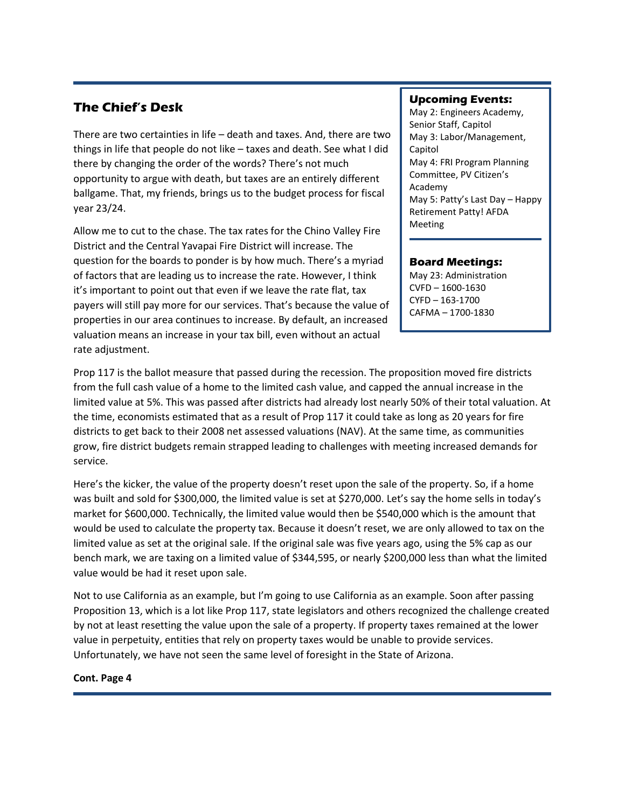### **The Chief's Desk**

There are two certainties in life – death and taxes. And, there are two things in life that people do not like – taxes and death. See what I did there by changing the order of the words? There's not much opportunity to argue with death, but taxes are an entirely different ballgame. That, my friends, brings us to the budget process for fiscal year 23/24.

Allow me to cut to the chase. The tax rates for the Chino Valley Fire District and the Central Yavapai Fire District will increase. The question for the boards to ponder is by how much. There's a myriad of factors that are leading us to increase the rate. However, I think it's important to point out that even if we leave the rate flat, tax payers will still pay more for our services. That's because the value of properties in our area continues to increase. By default, an increased valuation means an increase in your tax bill, even without an actual rate adjustment.

#### **Upcoming Events:**

May 2: Engineers Academy, Senior Staff, Capitol May 3: Labor/Management, Capitol May 4: FRI Program Planning Committee, PV Citizen's Academy May 5: Patty's Last Day – Happy Retirement Patty! AFDA Meeting

#### **Board Meetings:**

May 23: Administration CVFD – 1600-1630 CYFD – 163-1700 CAFMA – 1700-1830

Prop 117 is the ballot measure that passed during the recession. The proposition moved fire districts from the full cash value of a home to the limited cash value, and capped the annual increase in the limited value at 5%. This was passed after districts had already lost nearly 50% of their total valuation. At the time, economists estimated that as a result of Prop 117 it could take as long as 20 years for fire districts to get back to their 2008 net assessed valuations (NAV). At the same time, as communities grow, fire district budgets remain strapped leading to challenges with meeting increased demands for service.

Here's the kicker, the value of the property doesn't reset upon the sale of the property. So, if a home was built and sold for \$300,000, the limited value is set at \$270,000. Let's say the home sells in today's market for \$600,000. Technically, the limited value would then be \$540,000 which is the amount that would be used to calculate the property tax. Because it doesn't reset, we are only allowed to tax on the limited value as set at the original sale. If the original sale was five years ago, using the 5% cap as our bench mark, we are taxing on a limited value of \$344,595, or nearly \$200,000 less than what the limited value would be had it reset upon sale.

Not to use California as an example, but I'm going to use California as an example. Soon after passing Proposition 13, which is a lot like Prop 117, state legislators and others recognized the challenge created by not at least resetting the value upon the sale of a property. If property taxes remained at the lower value in perpetuity, entities that rely on property taxes would be unable to provide services. Unfortunately, we have not seen the same level of foresight in the State of Arizona.

#### **Cont. Page 4**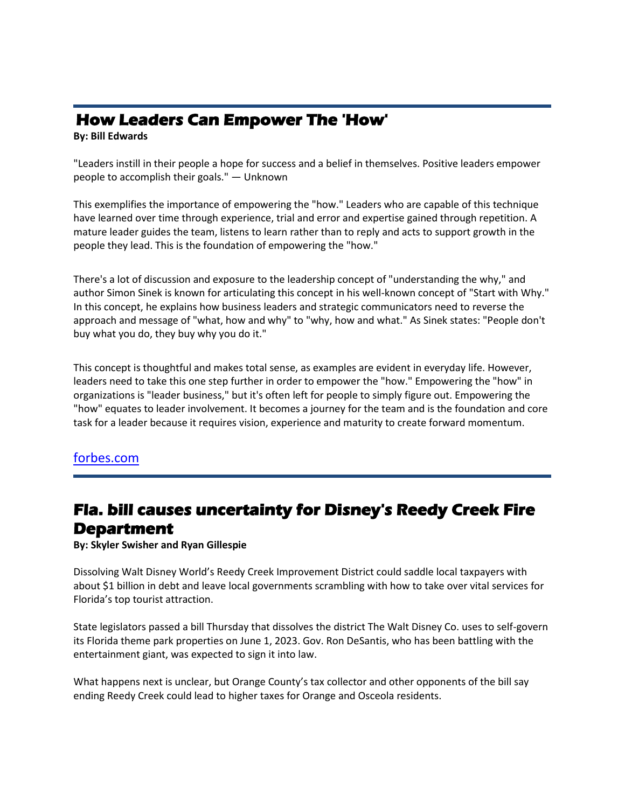### **How Leaders Can Empower The 'How'**

#### **By: Bill Edwards**

"Leaders instill in their people a hope for success and a belief in themselves. Positive leaders empower people to accomplish their goals." — Unknown

This exemplifies the importance of empowering the "how." Leaders who are capable of this technique have learned over time through experience, trial and error and expertise gained through repetition. A mature leader guides the team, listens to learn rather than to reply and acts to support growth in the people they lead. This is the foundation of empowering the "how."

There's a lot of discussion and exposure to the leadership concept of "understanding the why," and author Simon Sinek is known for articulating this concept in his well-known concept of "Start with Why." In this concept, he explains how business leaders and strategic communicators need to reverse the approach and message of "what, how and why" to "why, how and what." As Sinek states: "People don't buy what you do, they buy why you do it."

This concept is thoughtful and makes total sense, as examples are evident in everyday life. However, leaders need to take this one step further in order to empower the "how." Empowering the "how" in organizations is "leader business," but it's often left for people to simply figure out. Empowering the "how" equates to leader involvement. It becomes a journey for the team and is the foundation and core task for a leader because it requires vision, experience and maturity to create forward momentum.

### [forbes.com](https://www.forbes.com/sites/forbestechcouncil/2022/02/24/how-leaders-can-empower-the-how/?sh=c9ae20179d83)

### **Fla. bill causes uncertainty for Disney's Reedy Creek Fire Department**

**By: Skyler Swisher and Ryan Gillespie**

Dissolving Walt Disney World's Reedy Creek Improvement District could saddle local taxpayers with about \$1 billion in debt and leave local governments scrambling with how to take over vital services for Florida's top tourist attraction.

State legislators passed a bill Thursday that dissolves the district The Walt Disney Co. uses to self-govern its Florida theme park properties on June 1, 2023. Gov. Ron DeSantis, who has been battling with the entertainment giant, was expected to sign it into law.

What happens next is unclear, but Orange County's tax collector and other opponents of the bill say ending Reedy Creek could lead to higher taxes for Orange and Osceola residents.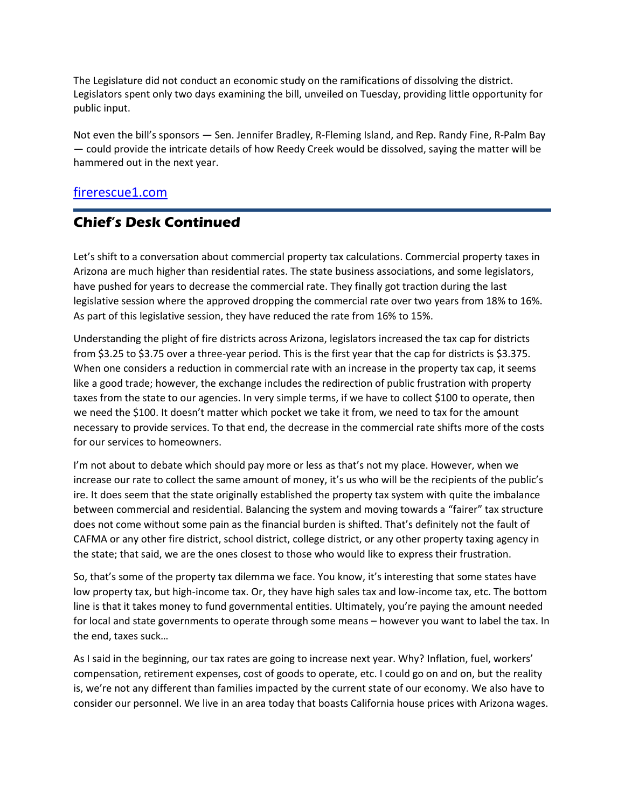The Legislature did not conduct an economic study on the ramifications of dissolving the district. Legislators spent only two days examining the bill, unveiled on Tuesday, providing little opportunity for public input.

Not even the bill's sponsors — Sen. Jennifer Bradley, R-Fleming Island, and Rep. Randy Fine, R-Palm Bay — could provide the intricate details of how Reedy Creek would be dissolved, saying the matter will be hammered out in the next year.

### [firerescue1.com](https://www.firerescue1.com/taxes/articles/fla-bill-causes-uncertainty-for-disneys-reedy-creek-fire-department-8zypRex6ORFxtl0b/)

### **Chief's Desk Continued**

Let's shift to a conversation about commercial property tax calculations. Commercial property taxes in Arizona are much higher than residential rates. The state business associations, and some legislators, have pushed for years to decrease the commercial rate. They finally got traction during the last legislative session where the approved dropping the commercial rate over two years from 18% to 16%. As part of this legislative session, they have reduced the rate from 16% to 15%.

Understanding the plight of fire districts across Arizona, legislators increased the tax cap for districts from \$3.25 to \$3.75 over a three-year period. This is the first year that the cap for districts is \$3.375. When one considers a reduction in commercial rate with an increase in the property tax cap, it seems like a good trade; however, the exchange includes the redirection of public frustration with property taxes from the state to our agencies. In very simple terms, if we have to collect \$100 to operate, then we need the \$100. It doesn't matter which pocket we take it from, we need to tax for the amount necessary to provide services. To that end, the decrease in the commercial rate shifts more of the costs for our services to homeowners.

I'm not about to debate which should pay more or less as that's not my place. However, when we increase our rate to collect the same amount of money, it's us who will be the recipients of the public's ire. It does seem that the state originally established the property tax system with quite the imbalance between commercial and residential. Balancing the system and moving towards a "fairer" tax structure does not come without some pain as the financial burden is shifted. That's definitely not the fault of CAFMA or any other fire district, school district, college district, or any other property taxing agency in the state; that said, we are the ones closest to those who would like to express their frustration.

So, that's some of the property tax dilemma we face. You know, it's interesting that some states have low property tax, but high-income tax. Or, they have high sales tax and low-income tax, etc. The bottom line is that it takes money to fund governmental entities. Ultimately, you're paying the amount needed for local and state governments to operate through some means – however you want to label the tax. In the end, taxes suck…

As I said in the beginning, our tax rates are going to increase next year. Why? Inflation, fuel, workers' compensation, retirement expenses, cost of goods to operate, etc. I could go on and on, but the reality is, we're not any different than families impacted by the current state of our economy. We also have to consider our personnel. We live in an area today that boasts California house prices with Arizona wages.